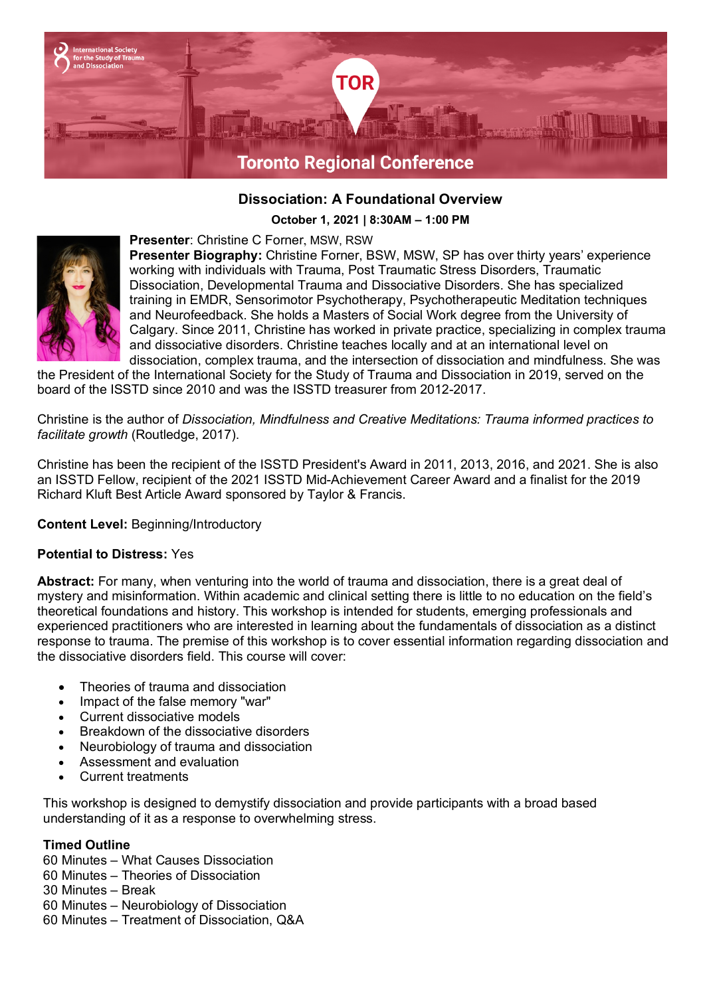

# **Dissociation: A Foundational Overview**

**October 1, 2021 | 8:30AM – 1:00 PM**



**Presenter**: Christine C Forner, MSW, RSW **Presenter Biography:** Christine Forner, BSW, MSW, SP has over thirty years' experience working with individuals with Trauma, Post Traumatic Stress Disorders, Traumatic Dissociation, Developmental Trauma and Dissociative Disorders. She has specialized training in EMDR, Sensorimotor Psychotherapy, Psychotherapeutic Meditation techniques and Neurofeedback. She holds a Masters of Social Work degree from the University of Calgary. Since 2011, Christine has worked in private practice, specializing in complex trauma and dissociative disorders. Christine teaches locally and at an international level on dissociation, complex trauma, and the intersection of dissociation and mindfulness. She was

the President of the International Society for the Study of Trauma and Dissociation in 2019, served on the board of the ISSTD since 2010 and was the ISSTD treasurer from 2012-2017.

Christine is the author of *Dissociation, Mindfulness and Creative Meditations: Trauma informed practices to facilitate growth* (Routledge, 2017).

Christine has been the recipient of the ISSTD President's Award in 2011, 2013, 2016, and 2021. She is also an ISSTD Fellow, recipient of the 2021 ISSTD Mid-Achievement Career Award and a finalist for the 2019 Richard Kluft Best Article Award sponsored by Taylor & Francis.

**Content Level:** Beginning/Introductory

## **Potential to Distress:** Yes

**Abstract:** For many, when venturing into the world of trauma and dissociation, there is a great deal of mystery and misinformation. Within academic and clinical setting there is little to no education on the field's theoretical foundations and history. This workshop is intended for students, emerging professionals and experienced practitioners who are interested in learning about the fundamentals of dissociation as a distinct response to trauma. The premise of this workshop is to cover essential information regarding dissociation and the dissociative disorders field. This course will cover:

- Theories of trauma and dissociation
- Impact of the false memory "war"
- Current dissociative models
- Breakdown of the dissociative disorders
- Neurobiology of trauma and dissociation
- Assessment and evaluation
- Current treatments

This workshop is designed to demystify dissociation and provide participants with a broad based understanding of it as a response to overwhelming stress.

#### **Timed Outline**

- 60 Minutes What Causes Dissociation
- 60 Minutes Theories of Dissociation
- 30 Minutes Break
- 60 Minutes Neurobiology of Dissociation
- 60 Minutes Treatment of Dissociation, Q&A